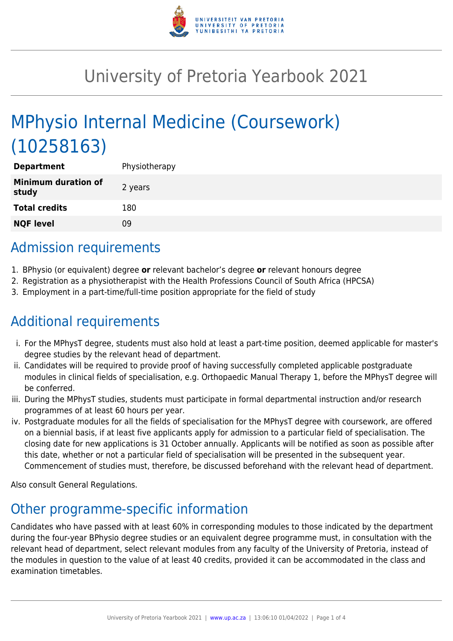

# University of Pretoria Yearbook 2021

# MPhysio Internal Medicine (Coursework) (10258163)

| <b>Department</b>                   | Physiotherapy |
|-------------------------------------|---------------|
| <b>Minimum duration of</b><br>study | 2 years       |
| <b>Total credits</b>                | 180           |
| <b>NQF level</b>                    | 09            |

### Admission requirements

- 1. BPhysio (or equivalent) degree **or** relevant bachelor's degree **or** relevant honours degree
- 2. Registration as a physiotherapist with the Health Professions Council of South Africa (HPCSA)
- 3. Employment in a part-time/full-time position appropriate for the field of study

## Additional requirements

- i. For the MPhysT degree, students must also hold at least a part-time position, deemed applicable for master's degree studies by the relevant head of department.
- ii. Candidates will be required to provide proof of having successfully completed applicable postgraduate modules in clinical fields of specialisation, e.g. Orthopaedic Manual Therapy 1, before the MPhysT degree will be conferred.
- iii. During the MPhysT studies, students must participate in formal departmental instruction and/or research programmes of at least 60 hours per year.
- iv. Postgraduate modules for all the fields of specialisation for the MPhysT degree with coursework, are offered on a biennial basis, if at least five applicants apply for admission to a particular field of specialisation. The closing date for new applications is 31 October annually. Applicants will be notified as soon as possible after this date, whether or not a particular field of specialisation will be presented in the subsequent year. Commencement of studies must, therefore, be discussed beforehand with the relevant head of department.

Also consult General Regulations.

## Other programme-specific information

Candidates who have passed with at least 60% in corresponding modules to those indicated by the department during the four-year BPhysio degree studies or an equivalent degree programme must, in consultation with the relevant head of department, select relevant modules from any faculty of the University of Pretoria, instead of the modules in question to the value of at least 40 credits, provided it can be accommodated in the class and examination timetables.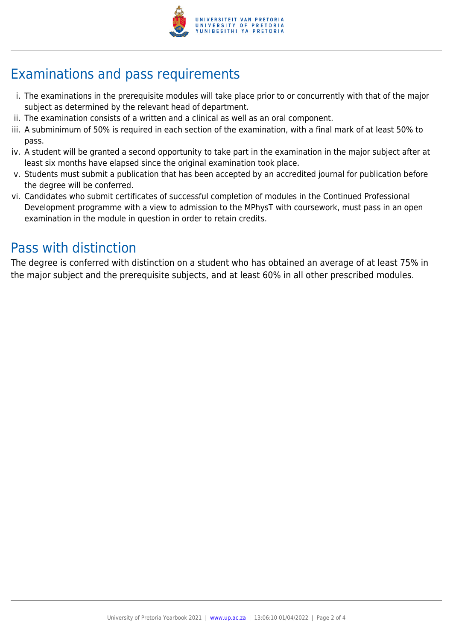

### Examinations and pass requirements

- i. The examinations in the prerequisite modules will take place prior to or concurrently with that of the major subject as determined by the relevant head of department.
- ii. The examination consists of a written and a clinical as well as an oral component.
- iii. A subminimum of 50% is required in each section of the examination, with a final mark of at least 50% to pass.
- iv. A student will be granted a second opportunity to take part in the examination in the major subject after at least six months have elapsed since the original examination took place.
- v. Students must submit a publication that has been accepted by an accredited journal for publication before the degree will be conferred.
- vi. Candidates who submit certificates of successful completion of modules in the Continued Professional Development programme with a view to admission to the MPhysT with coursework, must pass in an open examination in the module in question in order to retain credits.

### Pass with distinction

The degree is conferred with distinction on a student who has obtained an average of at least 75% in the major subject and the prerequisite subjects, and at least 60% in all other prescribed modules.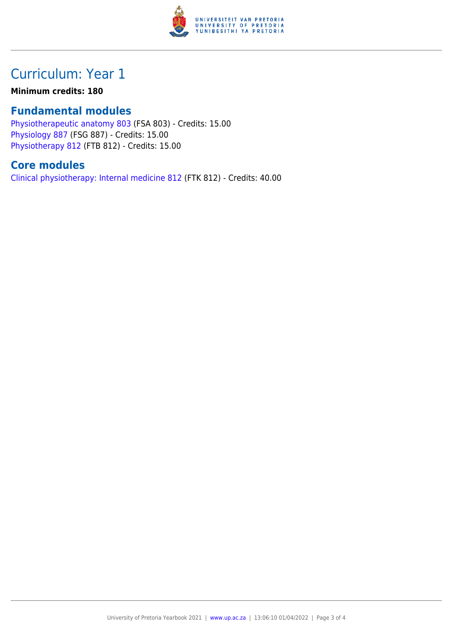

### Curriculum: Year 1

#### **Minimum credits: 180**

#### **Fundamental modules**

[Physiotherapeutic anatomy 803](https://www.up.ac.za/faculty-of-education/yearbooks/2021/modules/view/FSA 803) (FSA 803) - Credits: 15.00 [Physiology 887](https://www.up.ac.za/faculty-of-education/yearbooks/2021/modules/view/FSG 887) (FSG 887) - Credits: 15.00 [Physiotherapy 812](https://www.up.ac.za/faculty-of-education/yearbooks/2021/modules/view/FTB 812) (FTB 812) - Credits: 15.00

#### **Core modules**

[Clinical physiotherapy: Internal medicine 812](https://www.up.ac.za/faculty-of-education/yearbooks/2021/modules/view/FTK 812) (FTK 812) - Credits: 40.00